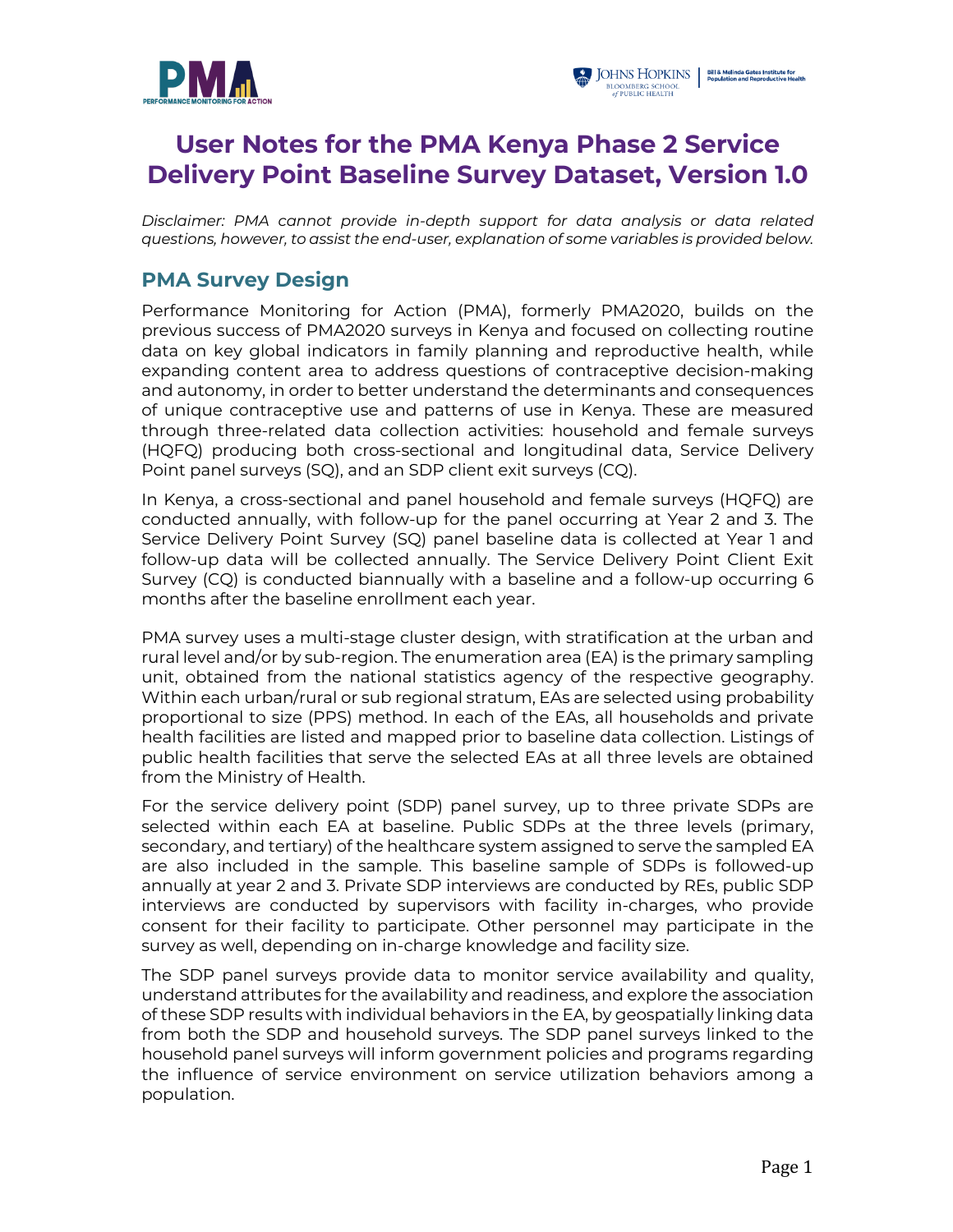



# **User Notes for the PMA Kenya Phase 2 Service Delivery Point Baseline Survey Dataset, Version 1.0**

*Disclaimer: PMA cannot provide in-depth support for data analysis or data related questions, however, to assist the end-user, explanation of some variables is provided below.*

### **PMA Survey Design**

Performance Monitoring for Action (PMA), formerly PMA2020, builds on the previous success of PMA2020 surveys in Kenya and focused on collecting routine data on key global indicators in family planning and reproductive health, while expanding content area to address questions of contraceptive decision-making and autonomy, in order to better understand the determinants and consequences of unique contraceptive use and patterns of use in Kenya. These are measured through three-related data collection activities: household and female surveys (HQFQ) producing both cross-sectional and longitudinal data, Service Delivery Point panel surveys (SQ), and an SDP client exit surveys (CQ).

In Kenya, a cross-sectional and panel household and female surveys (HQFQ) are conducted annually, with follow-up for the panel occurring at Year 2 and 3. The Service Delivery Point Survey (SQ) panel baseline data is collected at Year 1 and follow-up data will be collected annually. The Service Delivery Point Client Exit Survey (CQ) is conducted biannually with a baseline and a follow-up occurring 6 months after the baseline enrollment each year.

PMA survey uses a multi-stage cluster design, with stratification at the urban and rural level and/or by sub-region. The enumeration area (EA) is the primary sampling unit, obtained from the national statistics agency of the respective geography. Within each urban/rural or sub regional stratum, EAs are selected using probability proportional to size (PPS) method. In each of the EAs, all households and private health facilities are listed and mapped prior to baseline data collection. Listings of public health facilities that serve the selected EAs at all three levels are obtained from the Ministry of Health.

For the service delivery point (SDP) panel survey, up to three private SDPs are selected within each EA at baseline. Public SDPs at the three levels (primary, secondary, and tertiary) of the healthcare system assigned to serve the sampled EA are also included in the sample. This baseline sample of SDPs is followed-up annually at year 2 and 3. Private SDP interviews are conducted by REs, public SDP interviews are conducted by supervisors with facility in-charges, who provide consent for their facility to participate. Other personnel may participate in the survey as well, depending on in-charge knowledge and facility size.

The SDP panel surveys provide data to monitor service availability and quality, understand attributes for the availability and readiness, and explore the association of these SDP results with individual behaviors in the EA, by geospatially linking data from both the SDP and household surveys. The SDP panel surveys linked to the household panel surveys will inform government policies and programs regarding the influence of service environment on service utilization behaviors among a population.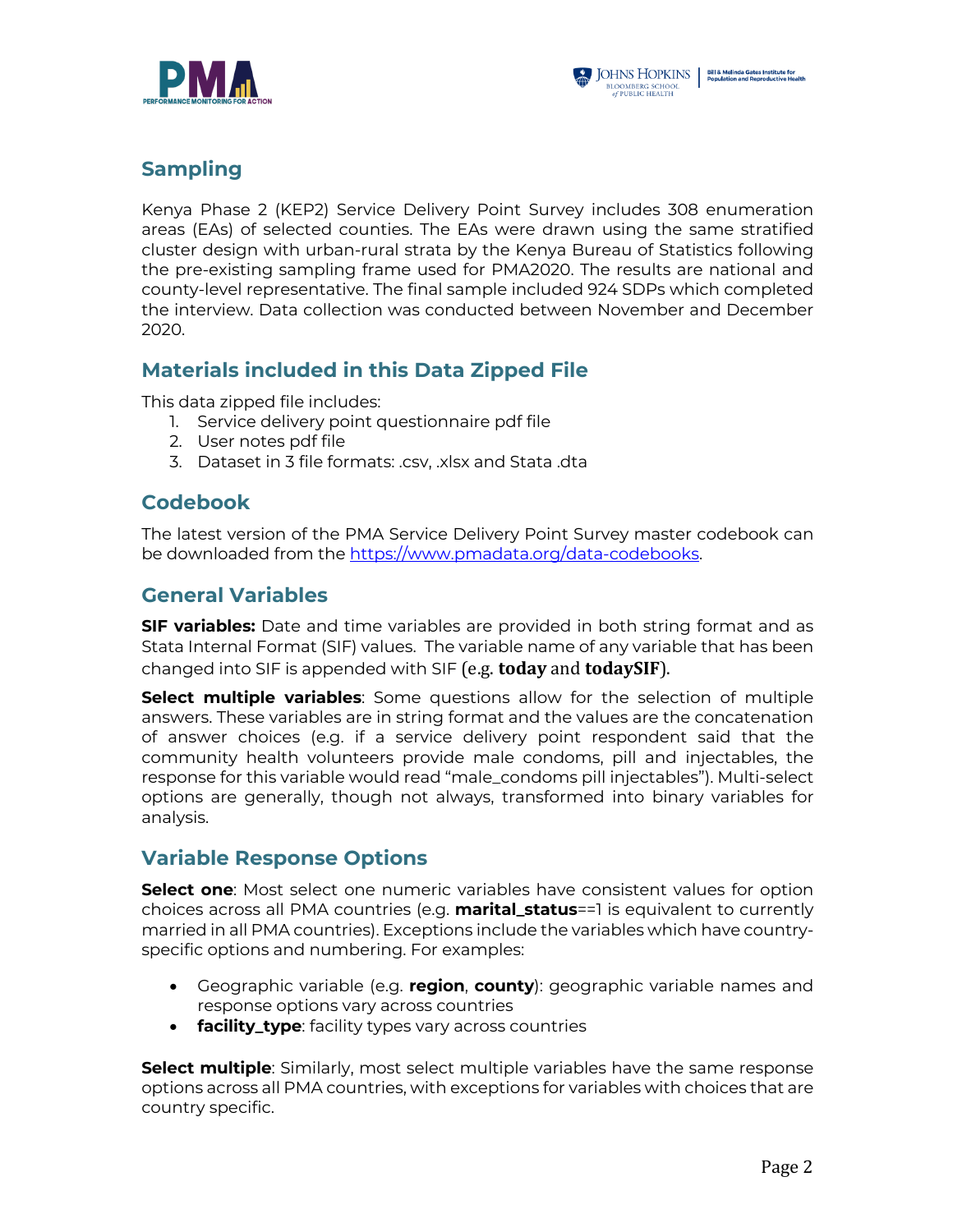



## **Sampling**

Kenya Phase 2 (KEP2) Service Delivery Point Survey includes 308 enumeration areas (EAs) of selected counties. The EAs were drawn using the same stratified cluster design with urban-rural strata by the Kenya Bureau of Statistics following the pre-existing sampling frame used for PMA2020. The results are national and county-level representative. The final sample included 924 SDPs which completed the interview. Data collection was conducted between November and December 2020.

## **Materials included in this Data Zipped File**

This data zipped file includes:

- 1. Service delivery point questionnaire pdf file
- 2. User notes pdf file
- 3. Dataset in 3 file formats: .csv, .xlsx and Stata .dta

#### **Codebook**

The latest version of the PMA Service Delivery Point Survey master codebook can be downloaded from the https://www.pmadata.org/data-codebooks.

### **General Variables**

**SIF variables:** Date and time variables are provided in both string format and as Stata Internal Format (SIF) values. The variable name of any variable that has been changed into SIF is appended with SIF (e.g. **today** and **todaySIF**).

**Select multiple variables**: Some questions allow for the selection of multiple answers. These variables are in string format and the values are the concatenation of answer choices (e.g. if a service delivery point respondent said that the community health volunteers provide male condoms, pill and injectables, the response for this variable would read "male\_condoms pill injectables"). Multi-select options are generally, though not always, transformed into binary variables for analysis.

#### **Variable Response Options**

**Select one**: Most select one numeric variables have consistent values for option choices across all PMA countries (e.g. **marital\_status**==1 is equivalent to currently married in all PMA countries). Exceptions include the variables which have countryspecific options and numbering. For examples:

- Geographic variable (e.g. **region**, **county**): geographic variable names and response options vary across countries
- **facility\_type**: facility types vary across countries

**Select multiple**: Similarly, most select multiple variables have the same response options across all PMA countries, with exceptions for variables with choices that are country specific.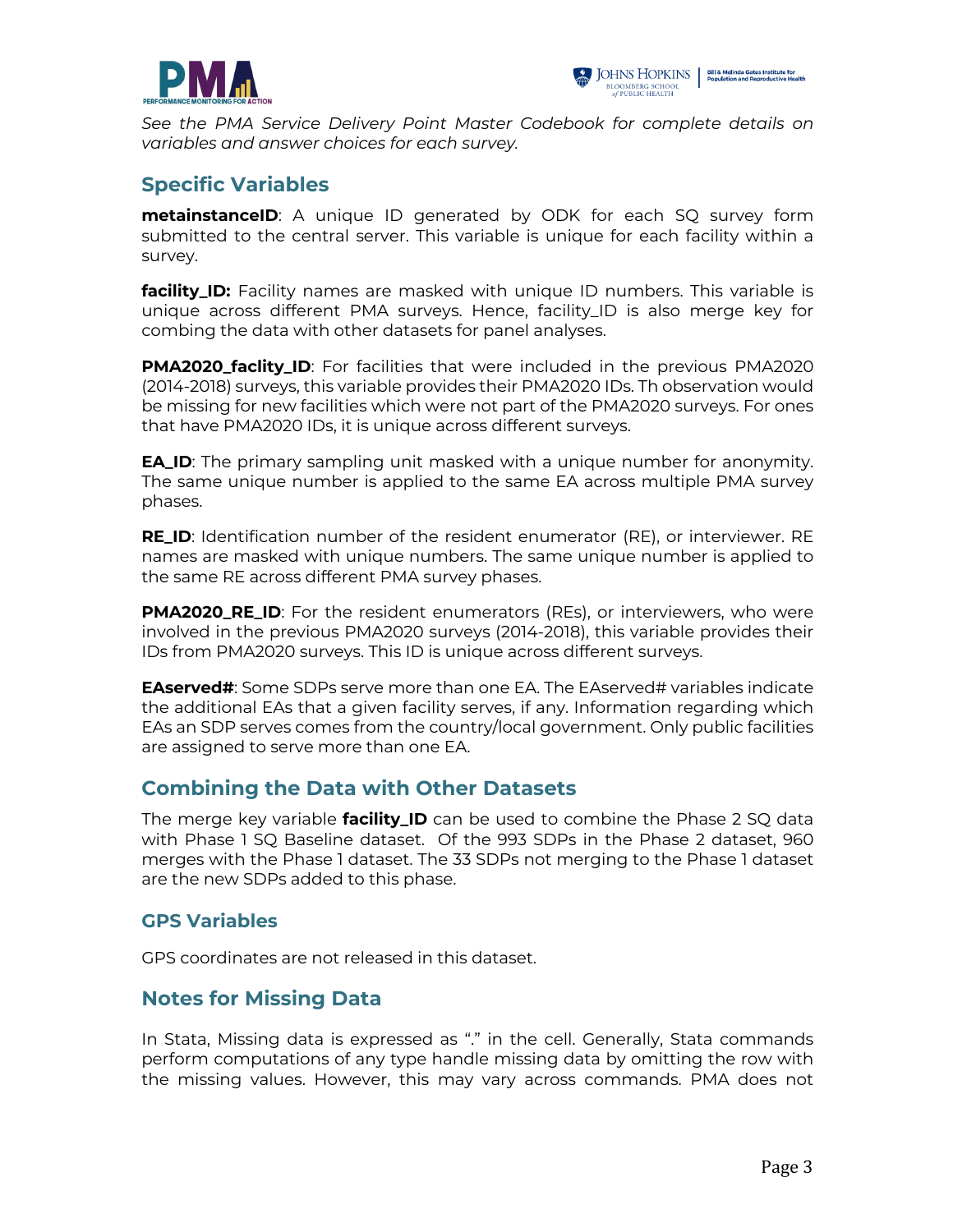



*See the PMA Service Delivery Point Master Codebook for complete details on variables and answer choices for each survey.*

#### **Specific Variables**

**metainstanceID**: A unique ID generated by ODK for each SQ survey form submitted to the central server. This variable is unique for each facility within a survey.

**facility\_ID:** Facility names are masked with unique ID numbers. This variable is unique across different PMA surveys. Hence, facility\_ID is also merge key for combing the data with other datasets for panel analyses.

**PMA2020\_faclity\_ID**: For facilities that were included in the previous PMA2020 (2014-2018) surveys, this variable provides their PMA2020 IDs. Th observation would be missing for new facilities which were not part of the PMA2020 surveys. For ones that have PMA2020 IDs, it is unique across different surveys.

**EA\_ID**: The primary sampling unit masked with a unique number for anonymity. The same unique number is applied to the same EA across multiple PMA survey phases.

**RE\_ID**: Identification number of the resident enumerator (RE), or interviewer. RE names are masked with unique numbers. The same unique number is applied to the same RE across different PMA survey phases.

**PMA2020\_RE\_ID:** For the resident enumerators (REs), or interviewers, who were involved in the previous PMA2020 surveys (2014-2018), this variable provides their IDs from PMA2020 surveys. This ID is unique across different surveys.

**EAserved#:** Some SDPs serve more than one EA. The EAserved# variables indicate the additional EAs that a given facility serves, if any. Information regarding which EAs an SDP serves comes from the country/local government. Only public facilities are assigned to serve more than one EA.

#### **Combining the Data with Other Datasets**

The merge key variable **facility\_ID** can be used to combine the Phase 2 SQ data with Phase 1 SQ Baseline dataset. Of the 993 SDPs in the Phase 2 dataset, 960 merges with the Phase 1 dataset. The 33 SDPs not merging to the Phase 1 dataset are the new SDPs added to this phase.

#### **GPS Variables**

GPS coordinates are not released in this dataset.

#### **Notes for Missing Data**

In Stata, Missing data is expressed as "." in the cell. Generally, Stata commands perform computations of any type handle missing data by omitting the row with the missing values. However, this may vary across commands. PMA does not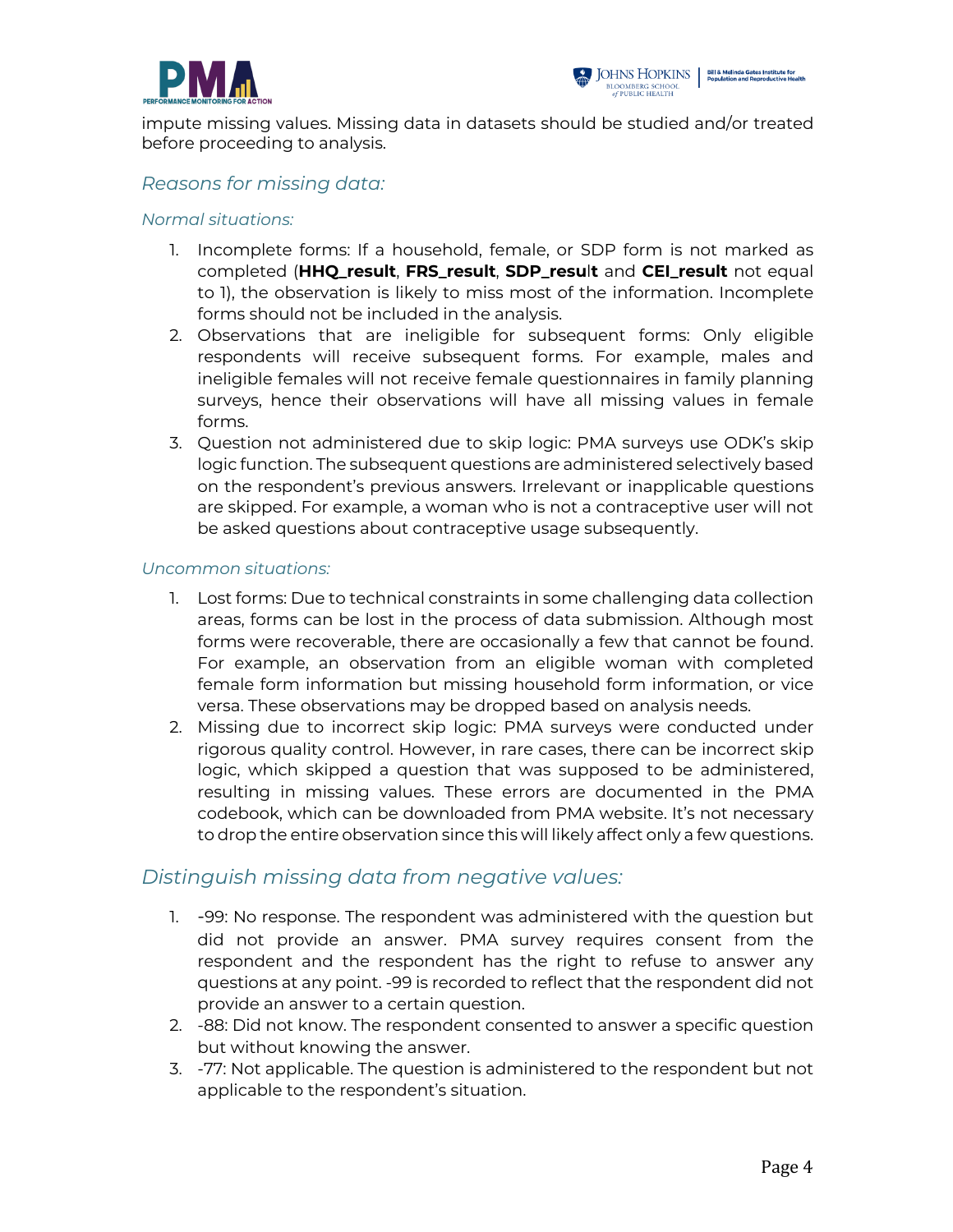



impute missing values. Missing data in datasets should be studied and/or treated before proceeding to analysis.

#### *Reasons for missing data:*

#### *Normal situations:*

- 1. Incomplete forms: If a household, female, or SDP form is not marked as completed (**HHQ\_result**, **FRS\_result**, **SDP\_resu**l**t** and **CEI\_result** not equal to 1), the observation is likely to miss most of the information. Incomplete forms should not be included in the analysis.
- 2. Observations that are ineligible for subsequent forms: Only eligible respondents will receive subsequent forms. For example, males and ineligible females will not receive female questionnaires in family planning surveys, hence their observations will have all missing values in female forms.
- 3. Question not administered due to skip logic: PMA surveys use ODK's skip logic function. The subsequent questions are administered selectively based on the respondent's previous answers. Irrelevant or inapplicable questions are skipped. For example, a woman who is not a contraceptive user will not be asked questions about contraceptive usage subsequently.

#### *Uncommon situations:*

- 1. Lost forms: Due to technical constraints in some challenging data collection areas, forms can be lost in the process of data submission. Although most forms were recoverable, there are occasionally a few that cannot be found. For example, an observation from an eligible woman with completed female form information but missing household form information, or vice versa. These observations may be dropped based on analysis needs.
- 2. Missing due to incorrect skip logic: PMA surveys were conducted under rigorous quality control. However, in rare cases, there can be incorrect skip logic, which skipped a question that was supposed to be administered, resulting in missing values. These errors are documented in the PMA codebook, which can be downloaded from PMA website. It's not necessary to drop the entire observation since this will likely affect only a few questions.

#### *Distinguish missing data from negative values:*

- 1. -99: No response. The respondent was administered with the question but did not provide an answer. PMA survey requires consent from the respondent and the respondent has the right to refuse to answer any questions at any point. -99 is recorded to reflect that the respondent did not provide an answer to a certain question.
- 2. -88: Did not know. The respondent consented to answer a specific question but without knowing the answer.
- 3. -77: Not applicable. The question is administered to the respondent but not applicable to the respondent's situation.